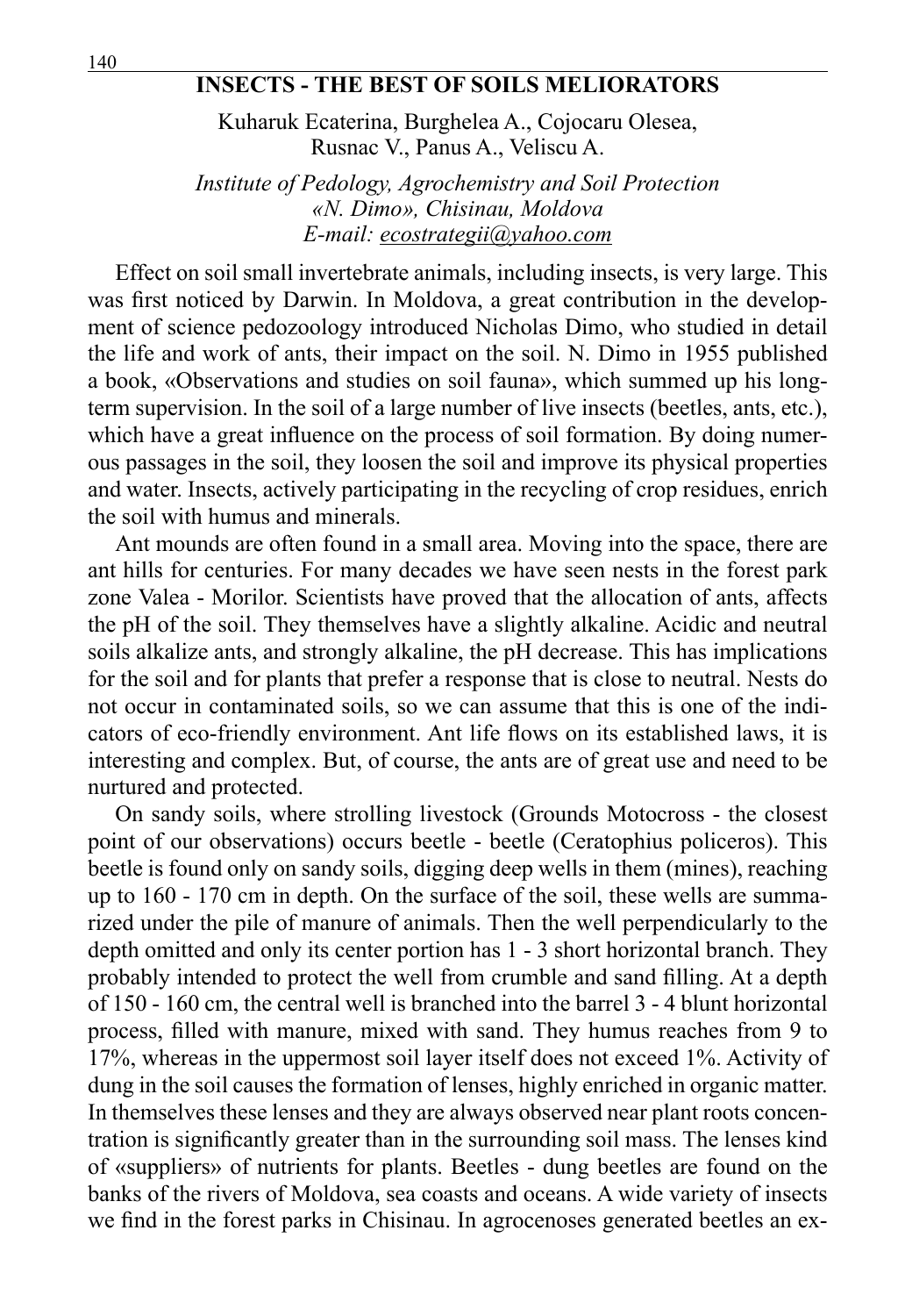## **INSECTS - THE BEST OF SOILS MELIORATORS**

Kuharuk Ecaterina, Burghelea A., Cojocaru Olesea, Rusnac V., Panus A., Veliscu A.

*Institute of Pedology, Agrochemistry and Soil Protection «N. Dimo», Chisinau, Moldova E-mail: ecostrategii@yahoo.com*

Effect on soil small invertebrate animals, including insects, is very large. This was first noticed by Darwin. In Moldova, a great contribution in the development of science pedozoology introduced Nicholas Dimo, who studied in detail the life and work of ants, their impact on the soil. N. Dimo in 1955 published a book, «Observations and studies on soil fauna», which summed up his longterm supervision. In the soil of a large number of live insects (beetles, ants, etc.), which have a great influence on the process of soil formation. By doing numerous passages in the soil, they loosen the soil and improve its physical properties and water. Insects, actively participating in the recycling of crop residues, enrich the soil with humus and minerals.

Ant mounds are often found in a small area. Moving into the space, there are ant hills for centuries. For many decades we have seen nests in the forest park zone Valea - Morilor. Scientists have proved that the allocation of ants, affects the pH of the soil. They themselves have a slightly alkaline. Acidic and neutral soils alkalize ants, and strongly alkaline, the pH decrease. This has implications for the soil and for plants that prefer a response that is close to neutral. Nests do not occur in contaminated soils, so we can assume that this is one of the indicators of eco-friendly environment. Ant life flows on its established laws, it is interesting and complex. But, of course, the ants are of great use and need to be nurtured and protected.

On sandy soils, where strolling livestock (Grounds Motocross - the closest point of our observations) occurs beetle - beetle (Ceratophius policeros). This beetle is found only on sandy soils, digging deep wells in them (mines), reaching up to 160 - 170 cm in depth. On the surface of the soil, these wells are summarized under the pile of manure of animals. Then the well perpendicularly to the depth omitted and only its center portion has 1 - 3 short horizontal branch. They probably intended to protect the well from crumble and sand filling. At a depth of 150 - 160 cm, the central well is branched into the barrel 3 - 4 blunt horizontal process, filled with manure, mixed with sand. They humus reaches from 9 to 17%, whereas in the uppermost soil layer itself does not exceed 1%. Activity of dung in the soil causes the formation of lenses, highly enriched in organic matter. In themselves these lenses and they are always observed near plant roots concentration is significantly greater than in the surrounding soil mass. The lenses kind of «suppliers» of nutrients for plants. Beetles - dung beetles are found on the banks of the rivers of Moldova, sea coasts and oceans. A wide variety of insects we find in the forest parks in Chisinau. In agrocenoses generated beetles an ex